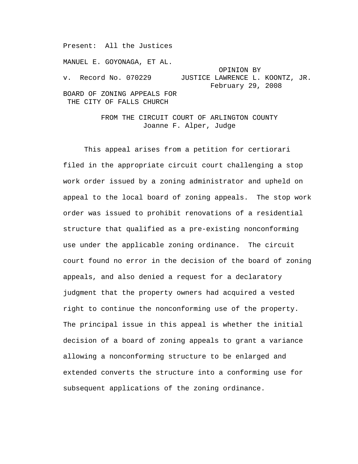MANUEL E. GOYONAGA, ET AL. OPINION BY<br>v. Record No. 070229 JUSTICE LAWRENCE L. JUSTICE LAWRENCE L. KOONTZ, JR. February 29, 2008 BOARD OF ZONING APPEALS FOR THE CITY OF FALLS CHURCH

Present: All the Justices

FROM THE CIRCUIT COURT OF ARLINGTON COUNTY Joanne F. Alper, Judge

This appeal arises from a petition for certiorari filed in the appropriate circuit court challenging a stop work order issued by a zoning administrator and upheld on appeal to the local board of zoning appeals. The stop work order was issued to prohibit renovations of a residential structure that qualified as a pre-existing nonconforming use under the applicable zoning ordinance. The circuit court found no error in the decision of the board of zoning appeals, and also denied a request for a declaratory judgment that the property owners had acquired a vested right to continue the nonconforming use of the property. The principal issue in this appeal is whether the initial decision of a board of zoning appeals to grant a variance allowing a nonconforming structure to be enlarged and extended converts the structure into a conforming use for subsequent applications of the zoning ordinance.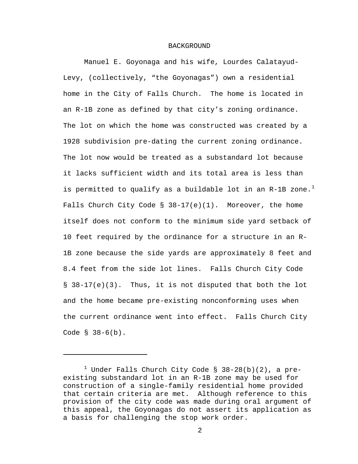## BACKGROUND

Manuel E. Goyonaga and his wife, Lourdes Calatayud-Levy, (collectively, "the Goyonagas") own a residential home in the City of Falls Church. The home is located in an R-1B zone as defined by that city's zoning ordinance. The lot on which the home was constructed was created by a 1928 subdivision pre-dating the current zoning ordinance. The lot now would be treated as a substandard lot because it lacks sufficient width and its total area is less than is permitted to qualify as a buildable lot in an R-[1](#page-1-0)B zone.<sup>1</sup> Falls Church City Code  $\S$  38-17(e)(1). Moreover, the home itself does not conform to the minimum side yard setback of 10 feet required by the ordinance for a structure in an R-1B zone because the side yards are approximately 8 feet and 8.4 feet from the side lot lines. Falls Church City Code  $\S$  38-17(e)(3). Thus, it is not disputed that both the lot and the home became pre-existing nonconforming uses when the current ordinance went into effect. Falls Church City Code § 38-6(b).

 $\overline{\phantom{0}}$ 

<span id="page-1-0"></span> $^1$  Under Falls Church City Code § 38-28(b)(2), a preexisting substandard lot in an R-1B zone may be used for construction of a single-family residential home provided that certain criteria are met. Although reference to this provision of the city code was made during oral argument of this appeal, the Goyonagas do not assert its application as a basis for challenging the stop work order.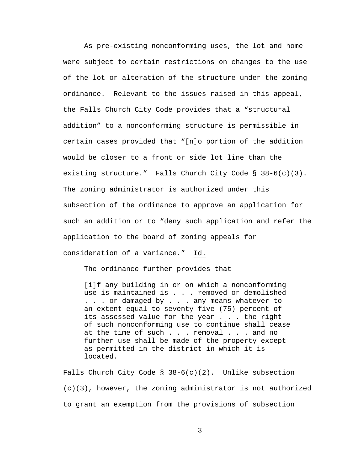As pre-existing nonconforming uses, the lot and home were subject to certain restrictions on changes to the use of the lot or alteration of the structure under the zoning ordinance. Relevant to the issues raised in this appeal, the Falls Church City Code provides that a "structural addition" to a nonconforming structure is permissible in certain cases provided that "[n]o portion of the addition would be closer to a front or side lot line than the existing structure." Falls Church City Code § 38-6(c)(3). The zoning administrator is authorized under this subsection of the ordinance to approve an application for such an addition or to "deny such application and refer the application to the board of zoning appeals for consideration of a variance." Id.

The ordinance further provides that

[i]f any building in or on which a nonconforming use is maintained is . . . removed or demolished . . . or damaged by . . . any means whatever to an extent equal to seventy-five (75) percent of its assessed value for the year . . . the right of such nonconforming use to continue shall cease at the time of such . . . removal . . . and no further use shall be made of the property except as permitted in the district in which it is located.

Falls Church City Code §  $38-6(c)(2)$ . Unlike subsection  $(c)(3)$ , however, the zoning administrator is not authorized to grant an exemption from the provisions of subsection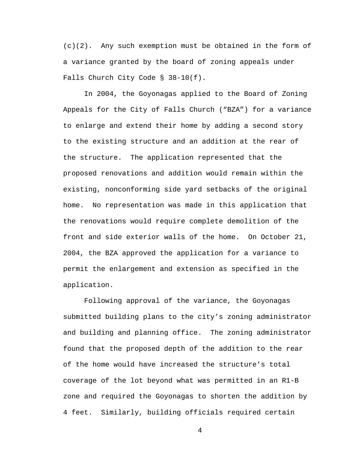$(c)(2)$ . Any such exemption must be obtained in the form of a variance granted by the board of zoning appeals under Falls Church City Code § 38-10(f).

In 2004, the Goyonagas applied to the Board of Zoning Appeals for the City of Falls Church ("BZA") for a variance to enlarge and extend their home by adding a second story to the existing structure and an addition at the rear of the structure. The application represented that the proposed renovations and addition would remain within the existing, nonconforming side yard setbacks of the original home. No representation was made in this application that the renovations would require complete demolition of the front and side exterior walls of the home. On October 21, 2004, the BZA approved the application for a variance to permit the enlargement and extension as specified in the application.

Following approval of the variance, the Goyonagas submitted building plans to the city's zoning administrator and building and planning office. The zoning administrator found that the proposed depth of the addition to the rear of the home would have increased the structure's total coverage of the lot beyond what was permitted in an R1-B zone and required the Goyonagas to shorten the addition by 4 feet. Similarly, building officials required certain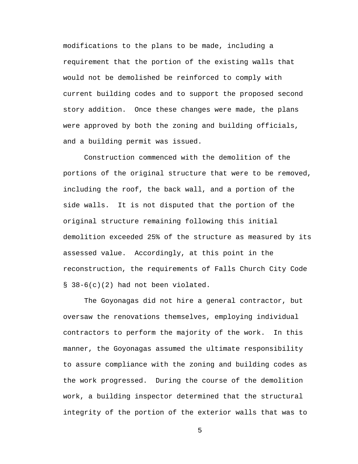modifications to the plans to be made, including a requirement that the portion of the existing walls that would not be demolished be reinforced to comply with current building codes and to support the proposed second story addition. Once these changes were made, the plans were approved by both the zoning and building officials, and a building permit was issued.

Construction commenced with the demolition of the portions of the original structure that were to be removed, including the roof, the back wall, and a portion of the side walls. It is not disputed that the portion of the original structure remaining following this initial demolition exceeded 25% of the structure as measured by its assessed value. Accordingly, at this point in the reconstruction, the requirements of Falls Church City Code § 38-6(c)(2) had not been violated.

The Goyonagas did not hire a general contractor, but oversaw the renovations themselves, employing individual contractors to perform the majority of the work. In this manner, the Goyonagas assumed the ultimate responsibility to assure compliance with the zoning and building codes as the work progressed. During the course of the demolition work, a building inspector determined that the structural integrity of the portion of the exterior walls that was to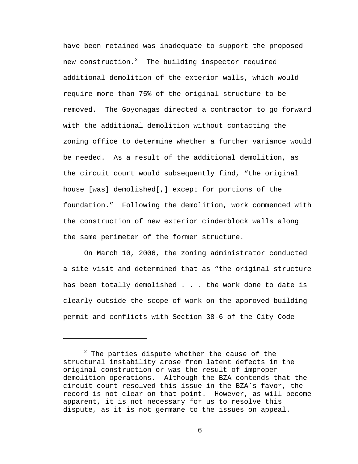have been retained was inadequate to support the proposed new construction.<sup>[2](#page-5-0)</sup> The building inspector required additional demolition of the exterior walls, which would require more than 75% of the original structure to be removed. The Goyonagas directed a contractor to go forward with the additional demolition without contacting the zoning office to determine whether a further variance would be needed. As a result of the additional demolition, as the circuit court would subsequently find, "the original house [was] demolished[,] except for portions of the foundation." Following the demolition, work commenced with the construction of new exterior cinderblock walls along the same perimeter of the former structure.

On March 10, 2006, the zoning administrator conducted a site visit and determined that as "the original structure has been totally demolished . . . the work done to date is clearly outside the scope of work on the approved building permit and conflicts with Section 38-6 of the City Code

i<br>Li

<span id="page-5-0"></span> $2$  The parties dispute whether the cause of the structural instability arose from latent defects in the original construction or was the result of improper demolition operations. Although the BZA contends that the circuit court resolved this issue in the BZA's favor, the record is not clear on that point. However, as will become apparent, it is not necessary for us to resolve this dispute, as it is not germane to the issues on appeal.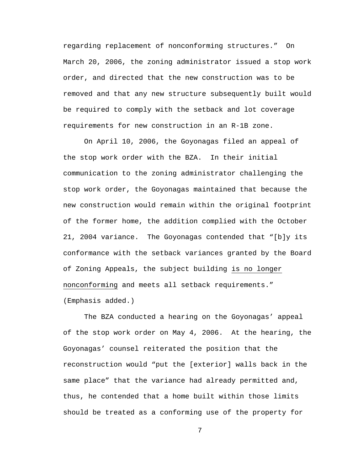regarding replacement of nonconforming structures." On March 20, 2006, the zoning administrator issued a stop work order, and directed that the new construction was to be removed and that any new structure subsequently built would be required to comply with the setback and lot coverage requirements for new construction in an R-1B zone.

On April 10, 2006, the Goyonagas filed an appeal of the stop work order with the BZA. In their initial communication to the zoning administrator challenging the stop work order, the Goyonagas maintained that because the new construction would remain within the original footprint of the former home, the addition complied with the October 21, 2004 variance. The Goyonagas contended that "[b]y its conformance with the setback variances granted by the Board of Zoning Appeals, the subject building is no longer nonconforming and meets all setback requirements." (Emphasis added.)

The BZA conducted a hearing on the Goyonagas' appeal of the stop work order on May 4, 2006. At the hearing, the Goyonagas' counsel reiterated the position that the reconstruction would "put the [exterior] walls back in the same place" that the variance had already permitted and, thus, he contended that a home built within those limits should be treated as a conforming use of the property for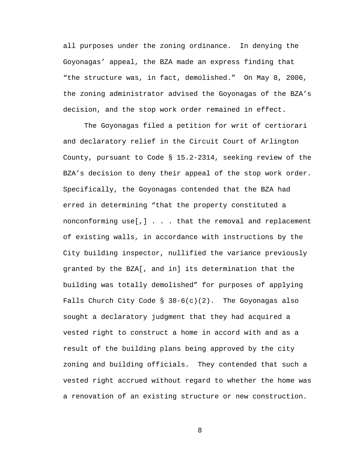all purposes under the zoning ordinance. In denying the Goyonagas' appeal, the BZA made an express finding that "the structure was, in fact, demolished." On May 8, 2006, the zoning administrator advised the Goyonagas of the BZA's decision, and the stop work order remained in effect.

The Goyonagas filed a petition for writ of certiorari and declaratory relief in the Circuit Court of Arlington County, pursuant to Code § 15.2-2314, seeking review of the BZA's decision to deny their appeal of the stop work order. Specifically, the Goyonagas contended that the BZA had erred in determining "that the property constituted a nonconforming use[,] . . . that the removal and replacement of existing walls, in accordance with instructions by the City building inspector, nullified the variance previously granted by the BZA[, and in] its determination that the building was totally demolished" for purposes of applying Falls Church City Code  $\S$  38-6(c)(2). The Goyonagas also sought a declaratory judgment that they had acquired a vested right to construct a home in accord with and as a result of the building plans being approved by the city zoning and building officials. They contended that such a vested right accrued without regard to whether the home was a renovation of an existing structure or new construction.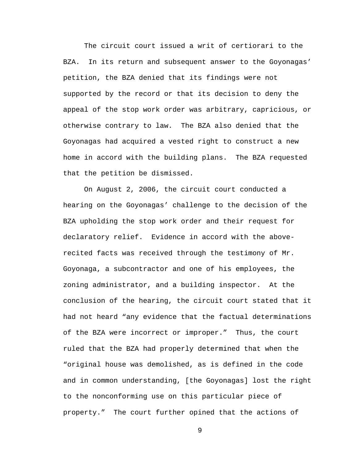The circuit court issued a writ of certiorari to the BZA. In its return and subsequent answer to the Goyonagas' petition, the BZA denied that its findings were not supported by the record or that its decision to deny the appeal of the stop work order was arbitrary, capricious, or otherwise contrary to law. The BZA also denied that the Goyonagas had acquired a vested right to construct a new home in accord with the building plans. The BZA requested that the petition be dismissed.

On August 2, 2006, the circuit court conducted a hearing on the Goyonagas' challenge to the decision of the BZA upholding the stop work order and their request for declaratory relief. Evidence in accord with the aboverecited facts was received through the testimony of Mr. Goyonaga, a subcontractor and one of his employees, the zoning administrator, and a building inspector. At the conclusion of the hearing, the circuit court stated that it had not heard "any evidence that the factual determinations of the BZA were incorrect or improper." Thus, the court ruled that the BZA had properly determined that when the "original house was demolished, as is defined in the code and in common understanding, [the Goyonagas] lost the right to the nonconforming use on this particular piece of property." The court further opined that the actions of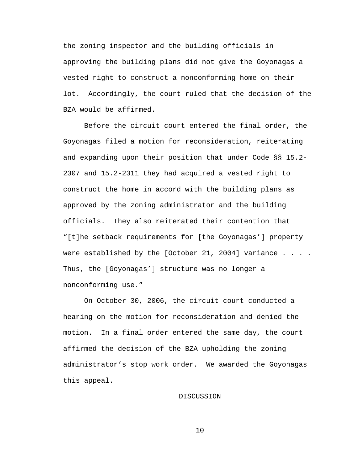the zoning inspector and the building officials in approving the building plans did not give the Goyonagas a vested right to construct a nonconforming home on their lot. Accordingly, the court ruled that the decision of the BZA would be affirmed.

Before the circuit court entered the final order, the Goyonagas filed a motion for reconsideration, reiterating and expanding upon their position that under Code §§ 15.2- 2307 and 15.2-2311 they had acquired a vested right to construct the home in accord with the building plans as approved by the zoning administrator and the building officials. They also reiterated their contention that "[t]he setback requirements for [the Goyonagas'] property were established by the [October 21, 2004] variance  $\ldots$ . Thus, the [Goyonagas'] structure was no longer a nonconforming use."

On October 30, 2006, the circuit court conducted a hearing on the motion for reconsideration and denied the motion. In a final order entered the same day, the court affirmed the decision of the BZA upholding the zoning administrator's stop work order. We awarded the Goyonagas this appeal.

## DISCUSSION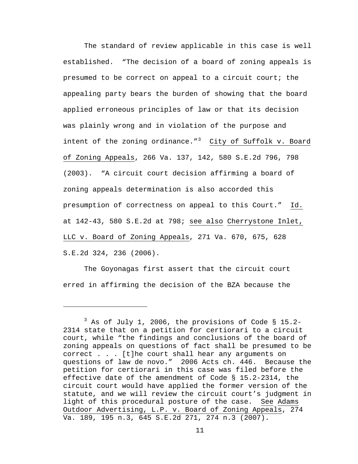The standard of review applicable in this case is well established. "The decision of a board of zoning appeals is presumed to be correct on appeal to a circuit court; the appealing party bears the burden of showing that the board applied erroneous principles of law or that its decision was plainly wrong and in violation of the purpose and intent of the zoning ordinance." $3$  City of Suffolk v. Board of Zoning Appeals, 266 Va. 137, 142, 580 S.E.2d 796, 798 (2003). "A circuit court decision affirming a board of zoning appeals determination is also accorded this presumption of correctness on appeal to this Court." Id. at 142-43, 580 S.E.2d at 798; see also Cherrystone Inlet, LLC v. Board of Zoning Appeals, 271 Va. 670, 675, 628 S.E.2d 324, 236 (2006).

The Goyonagas first assert that the circuit court erred in affirming the decision of the BZA because the

i<br>Li

<span id="page-10-0"></span> $3$  As of July 1, 2006, the provisions of Code § 15.2-2314 state that on a petition for certiorari to a circuit court, while "the findings and conclusions of the board of zoning appeals on questions of fact shall be presumed to be correct . . . [t]he court shall hear any arguments on questions of law de novo." 2006 Acts ch. 446. Because the petition for certiorari in this case was filed before the effective date of the amendment of Code § 15.2-2314, the circuit court would have applied the former version of the statute, and we will review the circuit court's judgment in light of this procedural posture of the case. See Adams Outdoor Advertising, L.P. v. Board of Zoning Appeals, 274 Va. 189, 195 n.3, 645 S.E.2d 271, 274 n.3 (2007).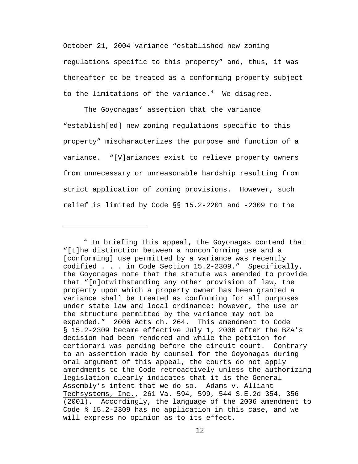October 21, 2004 variance "established new zoning regulations specific to this property" and, thus, it was thereafter to be treated as a conforming property subject to the limitations of the variance. $4\,$  $4\,$  We disagree.

The Goyonagas' assertion that the variance "establish[ed] new zoning regulations specific to this property" mischaracterizes the purpose and function of a variance. "[V]ariances exist to relieve property owners from unnecessary or unreasonable hardship resulting from strict application of zoning provisions. However, such relief is limited by Code §§ 15.2-2201 and -2309 to the

 $\overline{\phantom{0}}$ 

<span id="page-11-0"></span> $^4$  In briefing this appeal, the Goyonagas contend that "[t]he distinction between a nonconforming use and a [conforming] use permitted by a variance was recently codified . . . in Code Section 15.2-2309." Specifically, the Goyonagas note that the statute was amended to provide that "[n]otwithstanding any other provision of law, the property upon which a property owner has been granted a variance shall be treated as conforming for all purposes under state law and local ordinance; however, the use or the structure permitted by the variance may not be expanded." 2006 Acts ch. 264. This amendment to Code § 15.2-2309 became effective July 1, 2006 after the BZA's decision had been rendered and while the petition for certiorari was pending before the circuit court. Contrary to an assertion made by counsel for the Goyonagas during oral argument of this appeal, the courts do not apply amendments to the Code retroactively unless the authorizing legislation clearly indicates that it is the General Assembly's intent that we do so. Adams v. Alliant Techsystems, Inc., 261 Va. 594, 599, 544 S.E.2d 354, 356 (2001). Accordingly, the language of the 2006 amendment to Code § 15.2-2309 has no application in this case, and we will express no opinion as to its effect.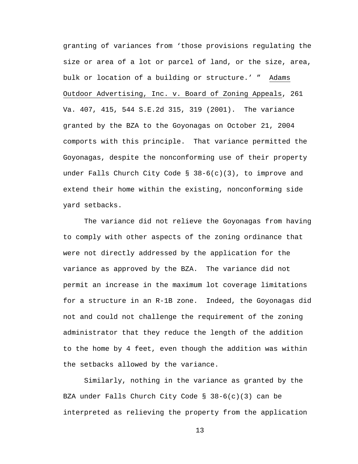granting of variances from 'those provisions regulating the size or area of a lot or parcel of land, or the size, area, bulk or location of a building or structure.' " Adams Outdoor Advertising, Inc. v. Board of Zoning Appeals, 261 Va. 407, 415, 544 S.E.2d 315, 319 (2001). The variance granted by the BZA to the Goyonagas on October 21, 2004 comports with this principle. That variance permitted the Goyonagas, despite the nonconforming use of their property under Falls Church City Code § 38-6(c)(3), to improve and extend their home within the existing, nonconforming side yard setbacks.

The variance did not relieve the Goyonagas from having to comply with other aspects of the zoning ordinance that were not directly addressed by the application for the variance as approved by the BZA. The variance did not permit an increase in the maximum lot coverage limitations for a structure in an R-1B zone. Indeed, the Goyonagas did not and could not challenge the requirement of the zoning administrator that they reduce the length of the addition to the home by 4 feet, even though the addition was within the setbacks allowed by the variance.

Similarly, nothing in the variance as granted by the BZA under Falls Church City Code § 38-6(c)(3) can be interpreted as relieving the property from the application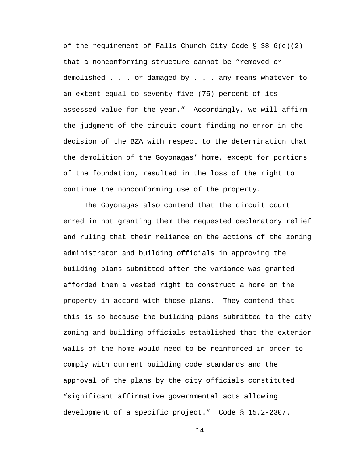of the requirement of Falls Church City Code  $\S$  38-6(c)(2) that a nonconforming structure cannot be "removed or demolished . . . or damaged by . . . any means whatever to an extent equal to seventy-five (75) percent of its assessed value for the year." Accordingly, we will affirm the judgment of the circuit court finding no error in the decision of the BZA with respect to the determination that the demolition of the Goyonagas' home, except for portions of the foundation, resulted in the loss of the right to continue the nonconforming use of the property.

The Goyonagas also contend that the circuit court erred in not granting them the requested declaratory relief and ruling that their reliance on the actions of the zoning administrator and building officials in approving the building plans submitted after the variance was granted afforded them a vested right to construct a home on the property in accord with those plans. They contend that this is so because the building plans submitted to the city zoning and building officials established that the exterior walls of the home would need to be reinforced in order to comply with current building code standards and the approval of the plans by the city officials constituted "significant affirmative governmental acts allowing development of a specific project." Code § 15.2-2307.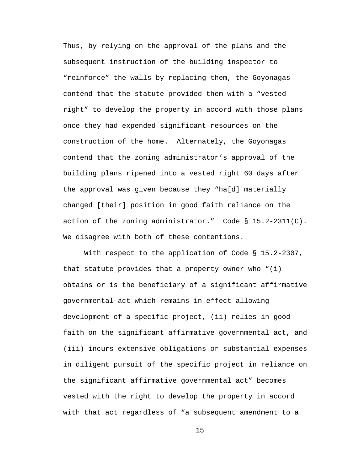Thus, by relying on the approval of the plans and the subsequent instruction of the building inspector to "reinforce" the walls by replacing them, the Goyonagas contend that the statute provided them with a "vested right" to develop the property in accord with those plans once they had expended significant resources on the construction of the home. Alternately, the Goyonagas contend that the zoning administrator's approval of the building plans ripened into a vested right 60 days after the approval was given because they "ha[d] materially changed [their] position in good faith reliance on the action of the zoning administrator." Code § 15.2-2311(C). We disagree with both of these contentions.

With respect to the application of Code § 15.2-2307, that statute provides that a property owner who "(i) obtains or is the beneficiary of a significant affirmative governmental act which remains in effect allowing development of a specific project, (ii) relies in good faith on the significant affirmative governmental act, and (iii) incurs extensive obligations or substantial expenses in diligent pursuit of the specific project in reliance on the significant affirmative governmental act" becomes vested with the right to develop the property in accord with that act regardless of "a subsequent amendment to a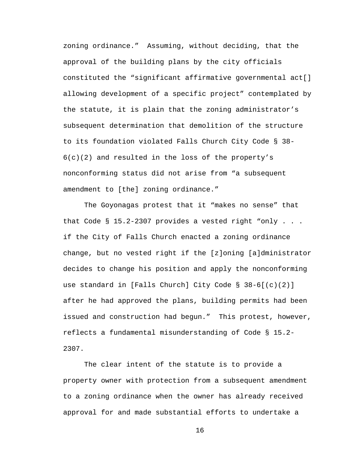zoning ordinance." Assuming, without deciding, that the approval of the building plans by the city officials constituted the "significant affirmative governmental act[] allowing development of a specific project" contemplated by the statute, it is plain that the zoning administrator's subsequent determination that demolition of the structure to its foundation violated Falls Church City Code § 38-  $6(c)(2)$  and resulted in the loss of the property's nonconforming status did not arise from "a subsequent amendment to [the] zoning ordinance."

The Goyonagas protest that it "makes no sense" that that Code § 15.2-2307 provides a vested right "only . . . if the City of Falls Church enacted a zoning ordinance change, but no vested right if the [z]oning [a]dministrator decides to change his position and apply the nonconforming use standard in [Falls Church] City Code § 38-6[(c)(2)] after he had approved the plans, building permits had been issued and construction had begun." This protest, however, reflects a fundamental misunderstanding of Code § 15.2- 2307.

The clear intent of the statute is to provide a property owner with protection from a subsequent amendment to a zoning ordinance when the owner has already received approval for and made substantial efforts to undertake a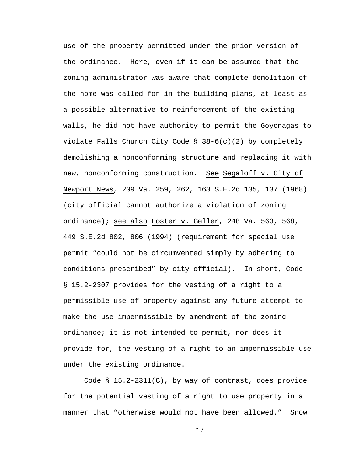use of the property permitted under the prior version of the ordinance. Here, even if it can be assumed that the zoning administrator was aware that complete demolition of the home was called for in the building plans, at least as a possible alternative to reinforcement of the existing walls, he did not have authority to permit the Goyonagas to violate Falls Church City Code § 38-6(c)(2) by completely demolishing a nonconforming structure and replacing it with new, nonconforming construction. See Segaloff v. City of Newport News, 209 Va. 259, 262, 163 S.E.2d 135, 137 (1968) (city official cannot authorize a violation of zoning ordinance); see also Foster v. Geller, 248 Va. 563, 568, 449 S.E.2d 802, 806 (1994) (requirement for special use permit "could not be circumvented simply by adhering to conditions prescribed" by city official). In short, Code § 15.2-2307 provides for the vesting of a right to a permissible use of property against any future attempt to make the use impermissible by amendment of the zoning ordinance; it is not intended to permit, nor does it provide for, the vesting of a right to an impermissible use under the existing ordinance.

Code  $\S$  15.2-2311(C), by way of contrast, does provide for the potential vesting of a right to use property in a manner that "otherwise would not have been allowed." Snow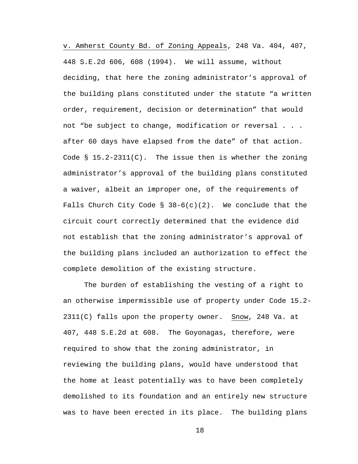v. Amherst County Bd. of Zoning Appeals, 248 Va. 404, 407, 448 S.E.2d 606, 608 (1994). We will assume, without deciding, that here the zoning administrator's approval of the building plans constituted under the statute "a written order, requirement, decision or determination" that would not "be subject to change, modification or reversal . . . after 60 days have elapsed from the date" of that action. Code § 15.2-2311(C). The issue then is whether the zoning administrator's approval of the building plans constituted a waiver, albeit an improper one, of the requirements of Falls Church City Code § 38-6(c)(2). We conclude that the circuit court correctly determined that the evidence did not establish that the zoning administrator's approval of the building plans included an authorization to effect the complete demolition of the existing structure.

The burden of establishing the vesting of a right to an otherwise impermissible use of property under Code 15.2- 2311(C) falls upon the property owner. Snow, 248 Va. at 407, 448 S.E.2d at 608. The Goyonagas, therefore, were required to show that the zoning administrator, in reviewing the building plans, would have understood that the home at least potentially was to have been completely demolished to its foundation and an entirely new structure was to have been erected in its place. The building plans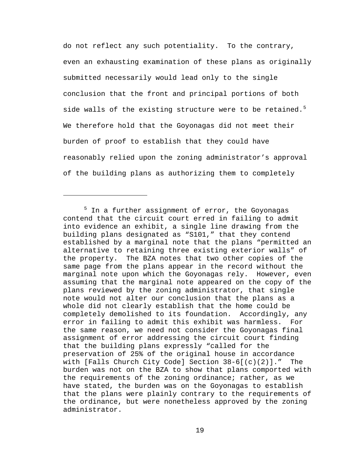do not reflect any such potentiality. To the contrary, even an exhausting examination of these plans as originally submitted necessarily would lead only to the single conclusion that the front and principal portions of both side walls of the existing structure were to be retained.<sup>[5](#page-18-0)</sup> We therefore hold that the Goyonagas did not meet their burden of proof to establish that they could have reasonably relied upon the zoning administrator's approval of the building plans as authorizing them to completely

i

<span id="page-18-0"></span><sup>&</sup>lt;sup>5</sup> In a further assignment of error, the Goyonagas contend that the circuit court erred in failing to admit into evidence an exhibit, a single line drawing from the building plans designated as "S101," that they contend established by a marginal note that the plans "permitted an alternative to retaining three existing exterior walls" of the property. The BZA notes that two other copies of the same page from the plans appear in the record without the marginal note upon which the Goyonagas rely. However, even assuming that the marginal note appeared on the copy of the plans reviewed by the zoning administrator, that single note would not alter our conclusion that the plans as a whole did not clearly establish that the home could be completely demolished to its foundation. Accordingly, any error in failing to admit this exhibit was harmless. For the same reason, we need not consider the Goyonagas final assignment of error addressing the circuit court finding that the building plans expressly "called for the preservation of 25% of the original house in accordance with [Falls Church City Code] Section 38-6[(c)(2)]." The burden was not on the BZA to show that plans comported with the requirements of the zoning ordinance; rather, as we have stated, the burden was on the Goyonagas to establish that the plans were plainly contrary to the requirements of the ordinance, but were nonetheless approved by the zoning administrator.